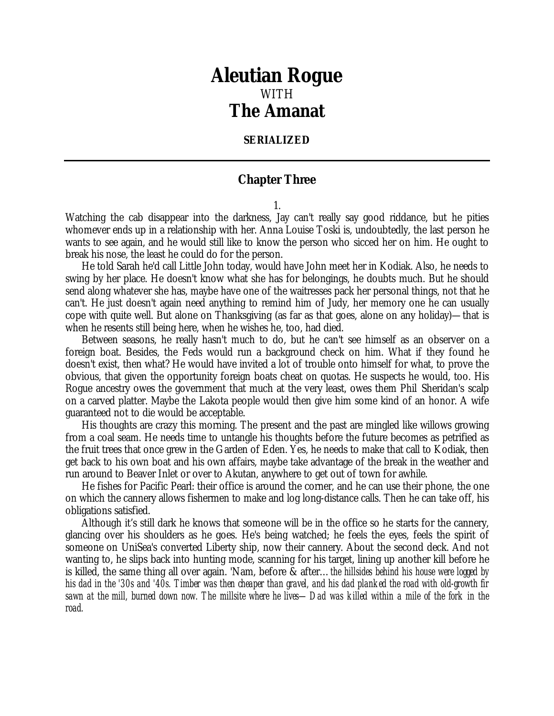## *Aleutian Rogue* WITH *The Amanat*

## **SERIALIZED**

## **Chapter Three**

1.

Watching the cab disappear into the darkness, Jay can't really say good riddance, but he pities whomever ends up in a relationship with her. Anna Louise Toski is, undoubtedly, the last person he wants to see again, and he would still like to know the person who sicced her on him. He ought to break his nose, the least he could do for the person.

He told Sarah he'd call Little John today, would have John meet her in Kodiak. Also, he needs to swing by her place. He doesn't know what she has for belongings, he doubts much. But he should send along whatever she has, maybe have one of the waitresses pack her personal things, not that he can't. He just doesn't again need anything to remind him of Judy, her memory one he can usually cope with quite well. But alone on Thanksgiving (as far as that goes, alone on any holiday)— that is when he resents still being here, when he wishes he, too, had died.

Between seasons, he really hasn't much to do, but he can't see himself as an observer on a foreign boat. Besides, the Feds would run a background check on him. What if they found he doesn't exist, then what? He would have invited a lot of trouble onto himself for what, to prove the obvious, that given the opportunity foreign boats cheat on quotas. He suspects he would, too. His Rogue ancestry owes the government that much at the very least, owes them Phil Sheridan's scalp on a carved platter. Maybe the Lakota people would then give him some kind of an honor. A wife guaranteed not to die would be acceptable.

His thoughts are crazy this morning. The present and the past are mingled like willows growing from a coal seam. He needs time to untangle his thoughts before the future becomes as petrified as the fruit trees that once grew in the Garden of Eden. Yes, he needs to make that call to Kodiak, then get back to his own boat and his own affairs, maybe take advantage of the break in the weather and run around to Beaver Inlet or over to Akutan, anywhere to get out of town for awhile.

He fishes for Pacific Pearl: their office is around the corner, and he can use their phone, the one on which the cannery allows fishermen to make and log long-distance calls. Then he can take off, his obligations satisfied.

Although it's still dark he knows that someone will be in the office so he starts for the cannery, glancing over his shoulders as he goes. He's being watched; he feels the eyes, feels the spirit of someone on UniSea's converted Liberty ship, now their cannery. About the second deck. And not wanting to, he slips back into hunting mode, scanning for his target, lining up another kill before he is killed, the same thing all over again. 'Nam, before & after… *the hillsides behind his house were logged by his dad in the '30s and '40s. Timber was then cheaper than gravel, and his dad planked the road with old-growth fir sawn at the mill, burned down now. The millsite where he lives— Dad was killed within a mile of the fork in the road.*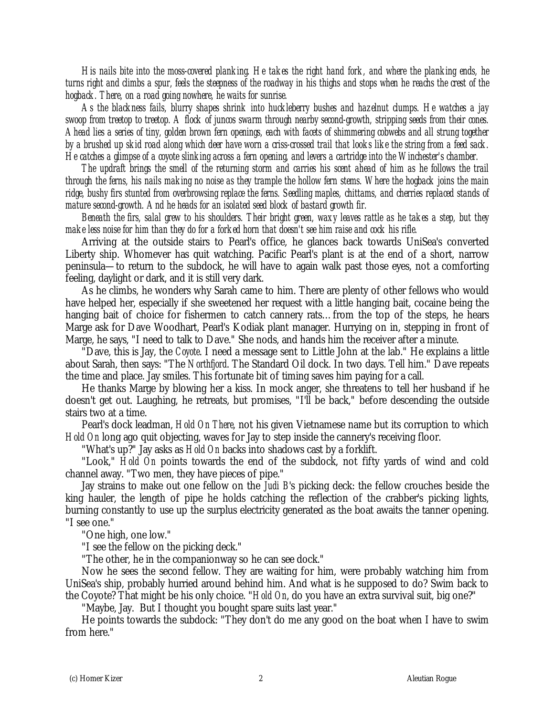*His nails bite into the moss-covered planking. He takes the right hand fork, and where the planking ends, he turns right and climbs a spur, feels the steepness of the roadway in his thighs and stops when he reachs the crest of the hogback. There, on a road going nowhere, he waits for sunrise.*

*As the blackness fails, blurry shapes shrink into huckleberry bushes and hazelnut clumps. He watches a jay swoop from treetop to treetop. A flock of juncos swarm through nearby second-growth, stripping seeds from their cones. Ahead lies a series of tiny, golden brown fern openings, each with facets of shimmering cobwebs and all strung together by a brushed up skid road along which deer have worn a criss-crossed trail that looks like the string from a feed sack. He catches a glimpse of a coyote slinking across a fern opening, and levers a cartridge into the Winchester's chamber.*

*The updraft brings the smell of the returning storm and carries his scent ahead of him as he follows the trail through the ferns, his nails making no noise as they trample the hollow fern stems. Where the hogback joins the main ridge, bushy firs stunted from overbrowsing replace the ferns. Seedling maples, chittams, and cherries replaced stands of mature second-growth. And he heads for an isolated seed block of bastard growth fir.*

*Beneath the firs, salal grew to his shoulders. Their bright green, waxy leaves rattle as he takes a step, but they make less noise for him than they do for a forked horn that doesn't see him raise and cock his rifle.*

Arriving at the outside stairs to Pearl's office, he glances back towards UniSea's converted Liberty ship. Whomever has quit watching. Pacific Pearl's plant is at the end of a short, narrow peninsula— to return to the subdock, he will have to again walk past those eyes, not a comforting feeling, daylight or dark, and it is still very dark.

As he climbs, he wonders why Sarah came to him. There are plenty of other fellows who would have helped her, especially if she sweetened her request with a little hanging bait, cocaine being the hanging bait of choice for fishermen to catch cannery rats… from the top of the steps, he hears Marge ask for Dave Woodhart, Pearl's Kodiak plant manager. Hurrying on in, stepping in front of Marge, he says, "I need to talk to Dave." She nods, and hands him the receiver after a minute.

"Dave, this is Jay, the *Coyote*. I need a message sent to Little John at the lab." He explains a little about Sarah, then says: "The *Northfjord*. The Standard Oil dock. In two days. Tell him." Dave repeats the time and place. Jay smiles. This fortunate bit of timing saves him paying for a call.

He thanks Marge by blowing her a kiss. In mock anger, she threatens to tell her husband if he doesn't get out. Laughing, he retreats, but promises, "I'll be back," before descending the outside stairs two at a time.

Pearl's dock leadman, *Hold On There*, not his given Vietnamese name but its corruption to which *Hold On* long ago quit objecting, waves for Jay to step inside the cannery's receiving floor.

"What's up?" Jay asks as *Hold On* backs into shadows cast by a forklift.

"Look," *Hold On* points towards the end of the subdock, not fifty yards of wind and cold channel away. "Two men, they have pieces of pipe."

Jay strains to make out one fellow on the *Judi B*'s picking deck: the fellow crouches beside the king hauler, the length of pipe he holds catching the reflection of the crabber's picking lights, burning constantly to use up the surplus electricity generated as the boat awaits the tanner opening. "I see one."

"One high, one low."

"I see the fellow on the picking deck."

"The other, he in the companionway so he can see dock."

Now he sees the second fellow. They are waiting for him, were probably watching him from UniSea's ship, probably hurried around behind him. And what is he supposed to do? Swim back to the Coyote? That might be his only choice. "*Hold On*, do you have an extra survival suit, big one?"

"Maybe, Jay. But I thought you bought spare suits last year."

He points towards the subdock: "They don't do me any good on the boat when I have to swim from here."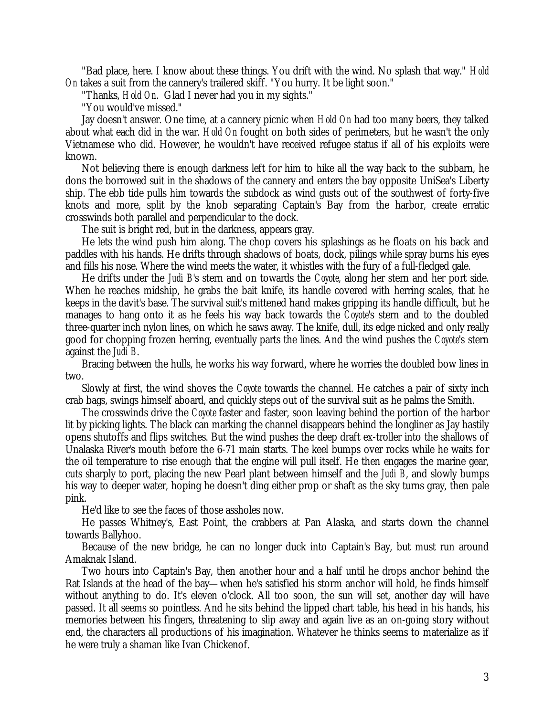"Bad place, here. I know about these things. You drift with the wind. No splash that way." *Hold On* takes a suit from the cannery's trailered skiff. "You hurry. It be light soon."

"Thanks, *Hold On*. Glad I never had you in my sights."

"You would've missed."

Jay doesn't answer. One time, at a cannery picnic when *Hold On* had too many beers, they talked about what each did in the war. *Hold On* fought on both sides of perimeters, but he wasn't the only Vietnamese who did. However, he wouldn't have received refugee status if all of his exploits were known.

Not believing there is enough darkness left for him to hike all the way back to the subbarn, he dons the borrowed suit in the shadows of the cannery and enters the bay opposite UniSea's Liberty ship. The ebb tide pulls him towards the subdock as wind gusts out of the southwest of forty-five knots and more, split by the knob separating Captain's Bay from the harbor, create erratic crosswinds both parallel and perpendicular to the dock.

The suit is bright red, but in the darkness, appears gray.

He lets the wind push him along. The chop covers his splashings as he floats on his back and paddles with his hands. He drifts through shadows of boats, dock, pilings while spray burns his eyes and fills his nose. Where the wind meets the water, it whistles with the fury of a full-fledged gale.

He drifts under the *Judi B*'s stern and on towards the *Coyote*, along her stern and her port side. When he reaches midship, he grabs the bait knife, its handle covered with herring scales, that he keeps in the davit's base. The survival suit's mittened hand makes gripping its handle difficult, but he manages to hang onto it as he feels his way back towards the *Coyote*'s stern and to the doubled three-quarter inch nylon lines, on which he saws away. The knife, dull, its edge nicked and only really good for chopping frozen herring, eventually parts the lines. And the wind pushes the *Coyote*'s stern against the *Judi B*.

Bracing between the hulls, he works his way forward, where he worries the doubled bow lines in two.

Slowly at first, the wind shoves the *Coyote* towards the channel. He catches a pair of sixty inch crab bags, swings himself aboard, and quickly steps out of the survival suit as he palms the Smith.

The crosswinds drive the *Coyote* faster and faster, soon leaving behind the portion of the harbor lit by picking lights. The black can marking the channel disappears behind the longliner as Jay hastily opens shutoffs and flips switches. But the wind pushes the deep draft ex-troller into the shallows of Unalaska River's mouth before the 6-71 main starts. The keel bumps over rocks while he waits for the oil temperature to rise enough that the engine will pull itself. He then engages the marine gear, cuts sharply to port, placing the new Pearl plant between himself and the *Judi B*, and slowly bumps his way to deeper water, hoping he doesn't ding either prop or shaft as the sky turns gray, then pale pink.

He'd like to see the faces of those assholes now.

He passes Whitney's, East Point, the crabbers at Pan Alaska, and starts down the channel towards Ballyhoo.

Because of the new bridge, he can no longer duck into Captain's Bay, but must run around Amaknak Island.

Two hours into Captain's Bay, then another hour and a half until he drops anchor behind the Rat Islands at the head of the bay— when he's satisfied his storm anchor will hold, he finds himself without anything to do. It's eleven o'clock. All too soon, the sun will set, another day will have passed. It all seems so pointless. And he sits behind the lipped chart table, his head in his hands, his memories between his fingers, threatening to slip away and again live as an on-going story without end, the characters all productions of his imagination. Whatever he thinks seems to materialize as if he were truly a shaman like Ivan Chickenof.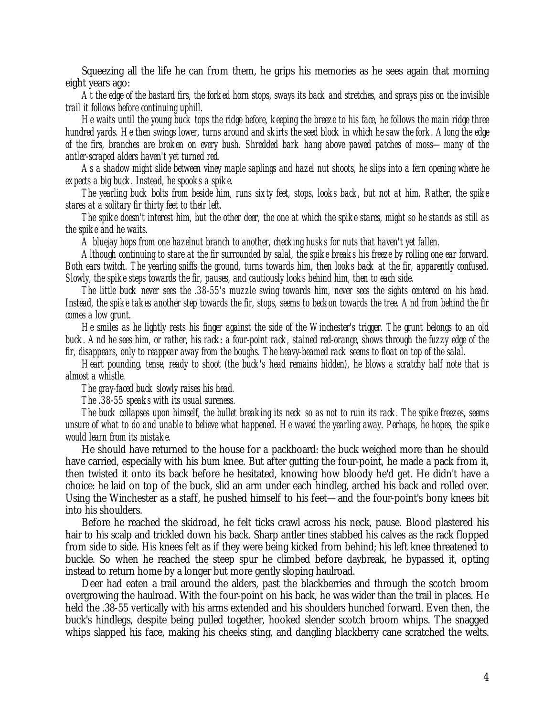Squeezing all the life he can from them, he grips his memories as he sees again that morning eight years ago:

*At the edge of the bastard firs, the forked horn stops, sways its back and stretches, and sprays piss on the invisible trail it follows before continuing uphill.*

*He waits until the young buck tops the ridge before, keeping the breeze to his face, he follows the main ridge three hundred yards. He then swings lower, turns around and skirts the seed block in which he saw the fork. Along the edge of the firs, branches are broken on every bush. Shredded bark hang above pawed patches of moss— many of the antler-scraped alders haven't yet turned red.*

*As a shadow might slide between viney maple saplings and hazel nut shoots, he slips into a fern opening where he expects a big buck. Instead, he spooks a spike.*

*The yearling buck bolts from beside him, runs sixty feet, stops, looks back, but not at him. Rather, the spike stares at a solitary fir thirty feet to their left.*

*The spike doesn't interest him, but the other deer, the one at which the spike stares, might so he stands as still as the spike and he waits.*

*A bluejay hops from one hazelnut branch to another, checking husks for nuts that haven't yet fallen.*

*Although continuing to stare at the fir surrounded by salal, the spike breaks his freeze by rolling one ear forward. Both ears twitch. The yearling sniffs the ground, turns towards him, then looks back at the fir, apparently confused. Slowly, the spike steps towards the fir, pauses, and cautiously looks behind him, then to each side.*

*The little buck never sees the .38-55's muzzle swing towards him, never sees the sights centered on his head. Instead, the spike takes another step towards the fir, stops, seems to beckon towards the tree. And from behind the fir comes a low grunt.*

*He smiles as he lightly rests his finger against the side of the Winchester's trigger. The grunt belongs to an old buck. And he sees him, or rather, his rack: a four-point rack, stained red-orange, shows through the fuzzy edge of the fir, disappears, only to reappear away from the boughs. The heavy-beamed rack seems to float on top of the salal.*

*Heart pounding, tense, ready to shoot (the buck's head remains hidden), he blows a scratchy half note that is almost a whistle.*

*The gray-faced buck slowly raises his head.*

*The .38-55 speaks with its usual sureness.*

*The buck collapses upon himself, the bullet breaking its neck so as not to ruin its rack. The spike freezes, seems unsure of what to do and unable to believe what happened. He waved the yearling away. Perhaps, he hopes, the spike would learn from its mistake.*

He should have returned to the house for a packboard: the buck weighed more than he should have carried, especially with his bum knee. But after gutting the four-point, he made a pack from it, then twisted it onto its back before he hesitated, knowing how bloody he'd get. He didn't have a choice: he laid on top of the buck, slid an arm under each hindleg, arched his back and rolled over. Using the Winchester as a staff, he pushed himself to his feet— and the four-point's bony knees bit into his shoulders.

Before he reached the skidroad, he felt ticks crawl across his neck, pause. Blood plastered his hair to his scalp and trickled down his back. Sharp antler tines stabbed his calves as the rack flopped from side to side. His knees felt as if they were being kicked from behind; his left knee threatened to buckle. So when he reached the steep spur he climbed before daybreak, he bypassed it, opting instead to return home by a longer but more gently sloping haulroad.

Deer had eaten a trail around the alders, past the blackberries and through the scotch broom overgrowing the haulroad. With the four-point on his back, he was wider than the trail in places. He held the .38-55 vertically with his arms extended and his shoulders hunched forward. Even then, the buck's hindlegs, despite being pulled together, hooked slender scotch broom whips. The snagged whips slapped his face, making his cheeks sting, and dangling blackberry cane scratched the welts.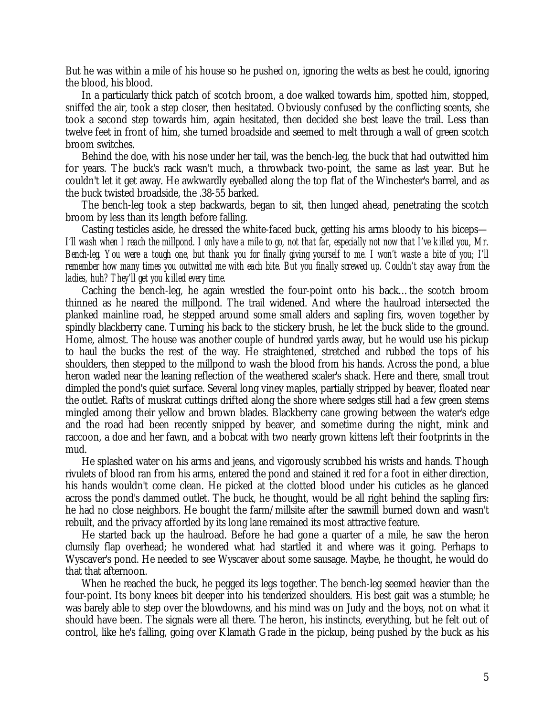But he was within a mile of his house so he pushed on, ignoring the welts as best he could, ignoring the blood, his blood.

In a particularly thick patch of scotch broom, a doe walked towards him, spotted him, stopped, sniffed the air, took a step closer, then hesitated. Obviously confused by the conflicting scents, she took a second step towards him, again hesitated, then decided she best leave the trail. Less than twelve feet in front of him, she turned broadside and seemed to melt through a wall of green scotch broom switches.

Behind the doe, with his nose under her tail, was the bench-leg, the buck that had outwitted him for years. The buck's rack wasn't much, a throwback two-point, the same as last year. But he couldn't let it get away. He awkwardly eyeballed along the top flat of the Winchester's barrel, and as the buck twisted broadside, the .38-55 barked.

The bench-leg took a step backwards, began to sit, then lunged ahead, penetrating the scotch broom by less than its length before falling.

Casting testicles aside, he dressed the white-faced buck, getting his arms bloody to his biceps— *I'll wash when I reach the millpond. I only have a mile to go, not that far, especially not now that I've killed you, Mr. Bench-leg. You were a tough one, but thank you for finally giving yourself to me. I won't waste a bite of you; I'll remember how many times you outwitted me with each bite. But you finally screwed up. Couldn't stay away from the ladies, huh? They'll get you killed every time.*

Caching the bench-leg, he again wrestled the four-point onto his back… the scotch broom thinned as he neared the millpond. The trail widened. And where the haulroad intersected the planked mainline road, he stepped around some small alders and sapling firs, woven together by spindly blackberry cane. Turning his back to the stickery brush, he let the buck slide to the ground. Home, almost. The house was another couple of hundred yards away, but he would use his pickup to haul the bucks the rest of the way. He straightened, stretched and rubbed the tops of his shoulders, then stepped to the millpond to wash the blood from his hands. Across the pond, a blue heron waded near the leaning reflection of the weathered scaler's shack. Here and there, small trout dimpled the pond's quiet surface. Several long viney maples, partially stripped by beaver, floated near the outlet. Rafts of muskrat cuttings drifted along the shore where sedges still had a few green stems mingled among their yellow and brown blades. Blackberry cane growing between the water's edge and the road had been recently snipped by beaver, and sometime during the night, mink and raccoon, a doe and her fawn, and a bobcat with two nearly grown kittens left their footprints in the mud.

He splashed water on his arms and jeans, and vigorously scrubbed his wrists and hands. Though rivulets of blood ran from his arms, entered the pond and stained it red for a foot in either direction, his hands wouldn't come clean. He picked at the clotted blood under his cuticles as he glanced across the pond's dammed outlet. The buck, he thought, would be all right behind the sapling firs: he had no close neighbors. He bought the farm/millsite after the sawmill burned down and wasn't rebuilt, and the privacy afforded by its long lane remained its most attractive feature.

He started back up the haulroad. Before he had gone a quarter of a mile, he saw the heron clumsily flap overhead; he wondered what had startled it and where was it going. Perhaps to Wyscaver's pond. He needed to see Wyscaver about some sausage. Maybe, he thought, he would do that that afternoon.

When he reached the buck, he pegged its legs together. The bench-leg seemed heavier than the four-point. Its bony knees bit deeper into his tenderized shoulders. His best gait was a stumble; he was barely able to step over the blowdowns, and his mind was on Judy and the boys, not on what it should have been. The signals were all there. The heron, his instincts, everything, but he felt out of control, like he's falling, going over Klamath Grade in the pickup, being pushed by the buck as his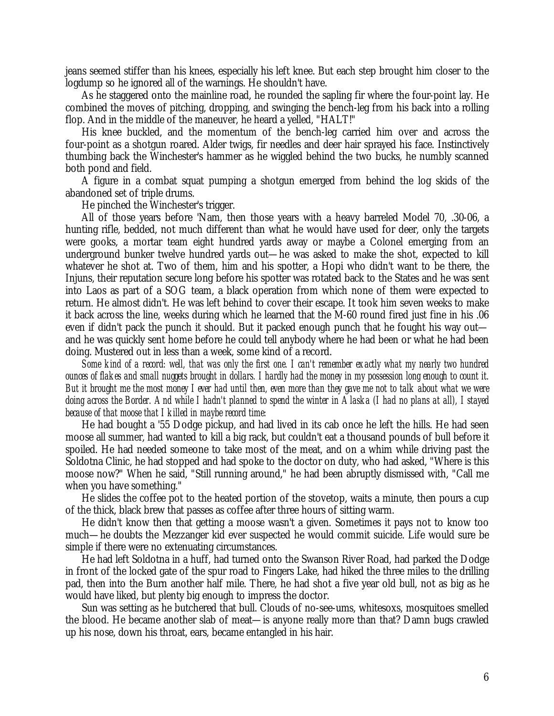jeans seemed stiffer than his knees, especially his left knee. But each step brought him closer to the logdump so he ignored all of the warnings. He shouldn't have.

As he staggered onto the mainline road, he rounded the sapling fir where the four-point lay. He combined the moves of pitching, dropping, and swinging the bench-leg from his back into a rolling flop. And in the middle of the maneuver, he heard a yelled, "HALT!"

His knee buckled, and the momentum of the bench-leg carried him over and across the four-point as a shotgun roared. Alder twigs, fir needles and deer hair sprayed his face. Instinctively thumbing back the Winchester's hammer as he wiggled behind the two bucks, he numbly scanned both pond and field.

A figure in a combat squat pumping a shotgun emerged from behind the log skids of the abandoned set of triple drums.

He pinched the Winchester's trigger.

All of those years before 'Nam, then those years with a heavy barreled Model 70, .30-06, a hunting rifle, bedded, not much different than what he would have used for deer, only the targets were gooks, a mortar team eight hundred yards away or maybe a Colonel emerging from an underground bunker twelve hundred yards out— he was asked to make the shot, expected to kill whatever he shot at. Two of them, him and his spotter, a Hopi who didn't want to be there, the Injuns, their reputation secure long before his spotter was rotated back to the States and he was sent into Laos as part of a SOG team, a black operation from which none of them were expected to return. He almost didn't. He was left behind to cover their escape. It took him seven weeks to make it back across the line, weeks during which he learned that the M-60 round fired just fine in his .06 even if didn't pack the punch it should. But it packed enough punch that he fought his way out and he was quickly sent home before he could tell anybody where he had been or what he had been doing. Mustered out in less than a week, some kind of a record.

*Some kind of a record: well, that was only the first one. I can't remember exactly what my nearly two hundred ounces of flakes and small nuggets brought in dollars. I hardly had the money in my possession long enough to count it. But it brought me the most money I ever had until then, even more than they gave me not to talk about what we were doing across the Border. And while I hadn't planned to spend the winter in Alaska (I had no plans at all), I stayed because of that moose that I killed in maybe record time:*

He had bought a '55 Dodge pickup, and had lived in its cab once he left the hills. He had seen moose all summer, had wanted to kill a big rack, but couldn't eat a thousand pounds of bull before it spoiled. He had needed someone to take most of the meat, and on a whim while driving past the Soldotna Clinic, he had stopped and had spoke to the doctor on duty, who had asked, "Where is this moose now?" When he said, "Still running around," he had been abruptly dismissed with, "Call me when you have something."

He slides the coffee pot to the heated portion of the stovetop, waits a minute, then pours a cup of the thick, black brew that passes as coffee after three hours of sitting warm.

He didn't know then that getting a moose wasn't a given. Sometimes it pays not to know too much— he doubts the Mezzanger kid ever suspected he would commit suicide. Life would sure be simple if there were no extenuating circumstances.

He had left Soldotna in a huff, had turned onto the Swanson River Road, had parked the Dodge in front of the locked gate of the spur road to Fingers Lake, had hiked the three miles to the drilling pad, then into the Burn another half mile. There, he had shot a five year old bull, not as big as he would have liked, but plenty big enough to impress the doctor.

Sun was setting as he butchered that bull. Clouds of no-see-ums, whitesoxs, mosquitoes smelled the blood. He became another slab of meat— is anyone really more than that? Damn bugs crawled up his nose, down his throat, ears, became entangled in his hair.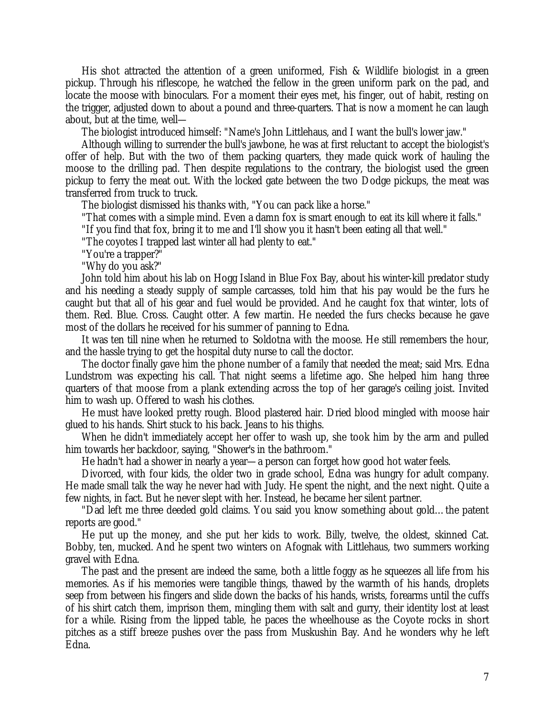His shot attracted the attention of a green uniformed, Fish & Wildlife biologist in a green pickup. Through his riflescope, he watched the fellow in the green uniform park on the pad, and locate the moose with binoculars. For a moment their eyes met, his finger, out of habit, resting on the trigger, adjusted down to about a pound and three-quarters. That is now a moment he can laugh about, but at the time, well—

The biologist introduced himself: "Name's John Littlehaus, and I want the bull's lower jaw."

Although willing to surrender the bull's jawbone, he was at first reluctant to accept the biologist's offer of help. But with the two of them packing quarters, they made quick work of hauling the moose to the drilling pad. Then despite regulations to the contrary, the biologist used the green pickup to ferry the meat out. With the locked gate between the two Dodge pickups, the meat was transferred from truck to truck.

The biologist dismissed his thanks with, "You can pack like a horse."

"That comes with a simple mind. Even a damn fox is smart enough to eat its kill where it falls."

"If you find that fox, bring it to me and I'll show you it hasn't been eating all that well."

"The coyotes I trapped last winter all had plenty to eat."

"You're a trapper?"

"Why do you ask?"

John told him about his lab on Hogg Island in Blue Fox Bay, about his winter-kill predator study and his needing a steady supply of sample carcasses, told him that his pay would be the furs he caught but that all of his gear and fuel would be provided. And he caught fox that winter, lots of them. Red. Blue. Cross. Caught otter. A few martin. He needed the furs checks because he gave most of the dollars he received for his summer of panning to Edna.

It was ten till nine when he returned to Soldotna with the moose. He still remembers the hour, and the hassle trying to get the hospital duty nurse to call the doctor.

The doctor finally gave him the phone number of a family that needed the meat; said Mrs. Edna Lundstrom was expecting his call. That night seems a lifetime ago. She helped him hang three quarters of that moose from a plank extending across the top of her garage's ceiling joist. Invited him to wash up. Offered to wash his clothes.

He must have looked pretty rough. Blood plastered hair. Dried blood mingled with moose hair glued to his hands. Shirt stuck to his back. Jeans to his thighs.

When he didn't immediately accept her offer to wash up, she took him by the arm and pulled him towards her backdoor, saying, "Shower's in the bathroom."

He hadn't had a shower in nearly a year— a person can forget how good hot water feels.

Divorced, with four kids, the older two in grade school, Edna was hungry for adult company. He made small talk the way he never had with Judy. He spent the night, and the next night. Quite a few nights, in fact. But he never slept with her. Instead, he became her silent partner.

"Dad left me three deeded gold claims. You said you know something about gold… the patent reports are good."

He put up the money, and she put her kids to work. Billy, twelve, the oldest, skinned Cat. Bobby, ten, mucked. And he spent two winters on Afognak with Littlehaus, two summers working gravel with Edna.

The past and the present are indeed the same, both a little foggy as he squeezes all life from his memories. As if his memories were tangible things, thawed by the warmth of his hands, droplets seep from between his fingers and slide down the backs of his hands, wrists, forearms until the cuffs of his shirt catch them, imprison them, mingling them with salt and gurry, their identity lost at least for a while. Rising from the lipped table, he paces the wheelhouse as the Coyote rocks in short pitches as a stiff breeze pushes over the pass from Muskushin Bay. And he wonders why he left Edna.